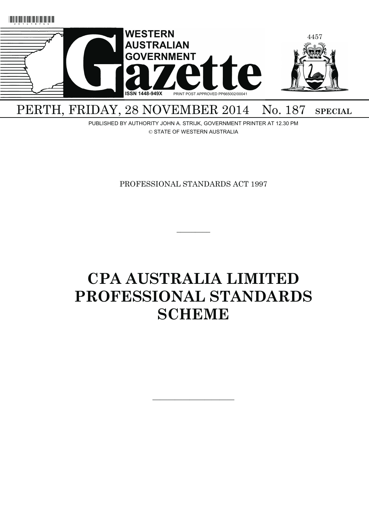

# PERTH, FRIDAY, 28 NOVEMBER 2014 No. 187 SPECIAL

PUBLISHED BY AUTHORITY JOHN A. STRIJK, GOVERNMENT PRINTER AT 12.30 PM © STATE OF WESTERN AUSTRALIA

PROFESSIONAL STANDARDS ACT 1997

 $\overline{\phantom{a}}$ 

# **CPA AUSTRALIA LIMITED PROFESSIONAL STANDARDS SCHEME**

———————————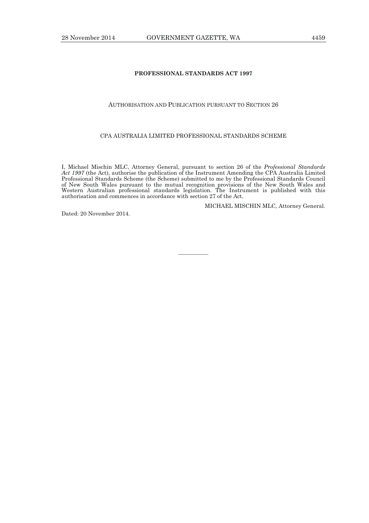# **PROFESSIONAL STANDARDS ACT 1997**

# AUTHORISATION AND PUBLICATION PURSUANT TO SECTION 26

#### CPA AUSTRALIA LIMITED PROFESSIONAL STANDARDS SCHEME

I, Michael Mischin MLC, Attorney General, pursuant to section 26 of the *Professional Standards Act 1997* (the Act), authorise the publication of the Instrument Amending the CPA Australia Limited Professional Standards Scheme (the Scheme) submitted to me by the Professional Standards Council of New South Wales pursuant to the mutual recognition provisions of the New South Wales and Western Australian professional standards legislation. The Instrument is published with this authorisation and commences in accordance with section 27 of the Act.

————

MICHAEL MISCHIN MLC, Attorney General.

Dated: 20 November 2014.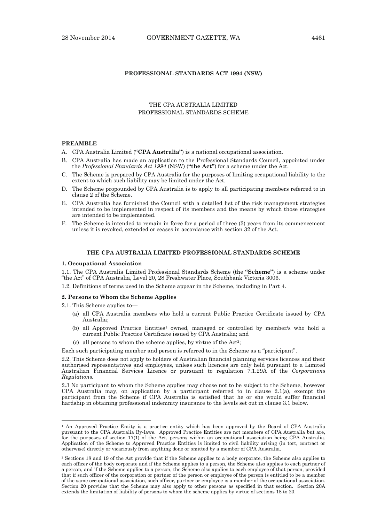# **PROFESSIONAL STANDARDS ACT 1994 (NSW)**

# THE CPA AUSTRALIA LIMITED PROFESSIONAL STANDARDS SCHEME

#### **PREAMBLE**

- A. CPA Australia Limited (**"CPA Australia"**) is a national occupational association.
- B. CPA Australia has made an application to the Professional Standards Council, appointed under the *Professional Standards Act 1994* (NSW) (**"the Act"**) for a scheme under the Act.
- C. The Scheme is prepared by CPA Australia for the purposes of limiting occupational liability to the extent to which such liability may be limited under the Act.
- D. The Scheme propounded by CPA Australia is to apply to all participating members referred to in clause 2 of the Scheme.
- E. CPA Australia has furnished the Council with a detailed list of the risk management strategies intended to be implemented in respect of its members and the means by which those strategies are intended to be implemented.
- F. The Scheme is intended to remain in force for a period of three (3) years from its commencement unless it is revoked, extended or ceases in accordance with section 32 of the Act.

#### **THE CPA AUSTRALIA LIMITED PROFESSIONAL STANDARDS SCHEME**

#### **1. Occupational Association**

1.1. The CPA Australia Limited Professional Standards Scheme (the **"Scheme"**) is a scheme under "the Act" of CPA Australia, Level 20, 28 Freshwater Place, Southbank Victoria 3006.

1.2. Definitions of terms used in the Scheme appear in the Scheme, including in Part 4.

#### **2. Persons to Whom the Scheme Applies**

2.1. This Scheme applies to—

 $\overline{a}$ 

- (a) all CPA Australia members who hold a current Public Practice Certificate issued by CPA Australia;
- (b) all Approved Practice Entities1 owned, managed or controlled by member/s who hold a current Public Practice Certificate issued by CPA Australia; and
- (c) all persons to whom the scheme applies, by virtue of the Act2;

Each such participating member and person is referred to in the Scheme as a "participant".

2.3 No participant to whom the Scheme applies may choose not to be subject to the Scheme, however CPA Australia may, on application by a participant referred to in clause  $2.1(a)$ , exempt the participant from the Scheme if CPA Australia is satisfied that he or she would suffer financial hardship in obtaining professional indemnity insurance to the levels set out in clause 3.1 below.

<sup>2.2.</sup> This Scheme does not apply to holders of Australian financial planning services licences and their authorised representatives and employees, unless such licences are only held pursuant to a Limited Australian Financial Services Licence or pursuant to regulation 7.1.29A of the *Corporations Regulations.*

<sup>&</sup>lt;sup>1</sup> An Approved Practice Entity is a practice entity which has been approved by the Board of CPA Australia pursuant to the CPA Australia By-laws. Approved Practice Entities are not members of CPA Australia but are, for the purposes of section 17(1) of the Act, persons within an occupational association being CPA Australia. Application of the Scheme to Approved Practice Entities is limited to civil liability arising (in tort, contract or otherwise) directly or vicariously from anything done or omitted by a member of CPA Australia.

<sup>2</sup> Sections 18 and 19 of the Act provide that if the Scheme applies to a body corporate, the Scheme also applies to each officer of the body corporate and if the Scheme applies to a person, the Scheme also applies to each partner of a person, and if the Scheme applies to a person, the Scheme also applies to each employee of that person, provided that if such officer of the corporation or partner of the person or employee of the person is entitled to be a member of the same occupational association, such officer, partner or employee is a member of the occupational association. Section 20 provides that the Scheme may also apply to other persons as specified in that section. Section 20A extends the limitation of liability of persons to whom the scheme applies by virtue of sections 18 to 20.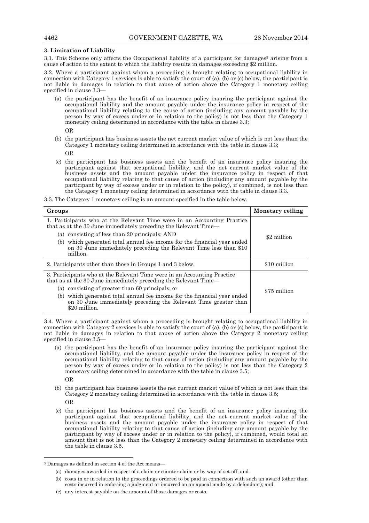#### **3. Limitation of Liability**

3.1. This Scheme only affects the Occupational liability of a participant for damages<sup>3</sup> arising from a cause of action to the extent to which the liability results in damages exceeding \$2 million.

3.2. Where a participant against whom a proceeding is brought relating to occupational liability in connection with Category 1 services is able to satisfy the court of (a), (b) or (c) below, the participant is not liable in damages in relation to that cause of action above the Category 1 monetary ceiling specified in clause 3.3—

 (a) the participant has the benefit of an insurance policy insuring the participant against the occupational liability and the amount payable under the insurance policy in respect of the occupational liability relating to the cause of action (including any amount payable by the person by way of excess under or in relation to the policy) is not less than the Category 1 monetary ceiling determined in accordance with the table in clause 3.3;

OR

 (b) the participant has business assets the net current market value of which is not less than the Category 1 monetary ceiling determined in accordance with the table in clause 3.3;

OR

 (c) the participant has business assets and the benefit of an insurance policy insuring the participant against that occupational liability, and the net current market value of the business assets and the amount payable under the insurance policy in respect of that occupational liability relating to that cause of action (including any amount payable by the participant by way of excess under or in relation to the policy), if combined, is not less than the Category 1 monetary ceiling determined in accordance with the table in clause 3.3.

3.3. The Category 1 monetary ceiling is an amount specified in the table below.

| Groups                                                                                                                                                       | Monetary ceiling |
|--------------------------------------------------------------------------------------------------------------------------------------------------------------|------------------|
| 1. Participants who at the Relevant Time were in an Accounting Practice<br>that as at the 30 June immediately preceding the Relevant Time—                   |                  |
| (a) consisting of less than 20 principals; AND                                                                                                               | \$2 million      |
| (b) which generated total annual fee income for the financial year ended<br>on 30 June immediately preceding the Relevant Time less than \$10<br>million.    |                  |
| 2. Participants other than those in Groups 1 and 3 below.                                                                                                    | \$10 million     |
| 3. Participants who at the Relevant Time were in an Accounting Practice<br>that as at the 30 June immediately preceding the Relevant Time—                   |                  |
| (a) consisting of greater than 60 principals; or                                                                                                             | \$75 million     |
| (b) which generated total annual fee income for the financial year ended<br>on 30 June immediately preceding the Relevant Time greater than<br>\$20 million. |                  |

3.4. Where a participant against whom a proceeding is brought relating to occupational liability in connection with Category 2 services is able to satisfy the court of (a), (b) or (c) below, the participant is not liable in damages in relation to that cause of action above the Category 2 monetary ceiling specified in clause 3.5—

- (a) the participant has the benefit of an insurance policy insuring the participant against the occupational liability, and the amount payable under the insurance policy in respect of the occupational liability relating to that cause of action (including any amount payable by the person by way of excess under or in relation to the policy) is not less than the Category 2 monetary ceiling determined in accordance with the table in clause 3.5; OR
	- (b) the participant has business assets the net current market value of which is not less than the Category 2 monetary ceiling determined in accordance with the table in clause 3.5; OR
	- (c) the participant has business assets and the benefit of an insurance policy insuring the participant against that occupational liability, and the net current market value of the business assets and the amount payable under the insurance policy in respect of that occupational liability relating to that cause of action (including any amount payable by the participant by way of excess under or in relation to the policy), if combined, would total an amount that is not less than the Category 2 monetary ceiling determined in accordance with the table in clause 3.5.

 $\overline{a}$ 

<sup>3</sup> Damages as defined in section 4 of the Act means—

 <sup>(</sup>a) damages awarded in respect of a claim or counter-claim or by way of set-off; and

 <sup>(</sup>b) costs in or in relation to the proceedings ordered to be paid in connection with such an award (other than costs incurred in enforcing a judgment or incurred on an appeal made by a defendant); and

 <sup>(</sup>c) any interest payable on the amount of those damages or costs.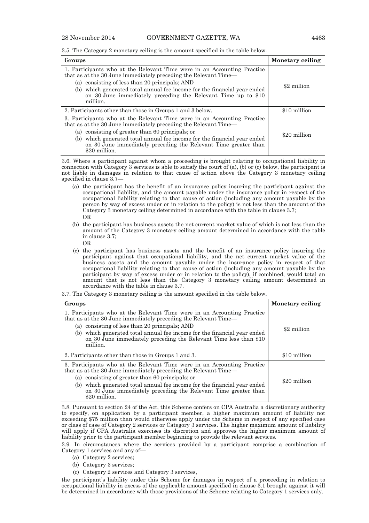3.5. The Category 2 monetary ceiling is the amount specified in the table below.

| Groups                                                                                                                                                                                                              | Monetary ceiling |
|---------------------------------------------------------------------------------------------------------------------------------------------------------------------------------------------------------------------|------------------|
| 1. Participants who at the Relevant Time were in an Accounting Practice<br>that as at the 30 June immediately preceding the Relevant Time—<br>(a) consisting of less than 20 principals; AND                        | \$2 million      |
| which generated total annual fee income for the financial year ended<br>(b)<br>on 30 June immediately preceding the Relevant Time up to \$10<br>million.                                                            |                  |
| 2. Participants other than those in Groups 1 and 3 below.                                                                                                                                                           | \$10 million     |
| 3. Participants who at the Relevant Time were in an Accounting Practice<br>that as at the 30 June immediately preceding the Relevant Time—                                                                          |                  |
| (a) consisting of greater than 60 principals; or<br>which generated total annual fee income for the financial year ended<br>(b)<br>on 30 June immediately preceding the Relevant Time greater than<br>\$20 million. | \$20 million     |

3.6. Where a participant against whom a proceeding is brought relating to occupational liability in connection with Category 3 services is able to satisfy the court of (a), (b) or (c) below, the participant is not liable in damages in relation to that cause of action above the Category 3 monetary ceiling specified in clause 3.7—

- (a) the participant has the benefit of an insurance policy insuring the participant against the occupational liability, and the amount payable under the insurance policy in respect of the occupational liability relating to that cause of action (including any amount payable by the person by way of excess under or in relation to the policy) is not less than the amount of the Category 3 monetary ceiling determined in accordance with the table in clause 3.7; OR
- (b) the participant has business assets the net current market value of which is not less than the amount of the Category 3 monetary ceiling amount determined in accordance with the table in clause 3.7;
	- OR
- (c) the participant has business assets and the benefit of an insurance policy insuring the participant against that occupational liability, and the net current market value of the business assets and the amount payable under the insurance policy in respect of that occupational liability relating to that cause of action (including any amount payable by the participant by way of excess under or in relation to the policy), if combined, would total an amount that is not less than the Category 3 monetary ceiling amount determined in accordance with the table in clause 3.7.

<sup>3.7.</sup> The Category 3 monetary ceiling is the amount specified in the table below.

| Groups                                                                                                                                                                                                                                                                                                                                                               | Monetary ceiling |
|----------------------------------------------------------------------------------------------------------------------------------------------------------------------------------------------------------------------------------------------------------------------------------------------------------------------------------------------------------------------|------------------|
| 1. Participants who at the Relevant Time were in an Accounting Practice<br>that as at the 30 June immediately preceding the Relevant Time—<br>(a) consisting of less than 20 principals; AND<br>which generated total annual fee income for the financial year ended<br>(b)<br>on 30 June immediately preceding the Relevant Time less than \$10<br>million.         | \$2 million      |
| 2. Participants other than those in Groups 1 and 3.                                                                                                                                                                                                                                                                                                                  | \$10 million     |
| 3. Participants who at the Relevant Time were in an Accounting Practice<br>that as at the 30 June immediately preceding the Relevant Time—<br>consisting of greater than 60 principals; or<br>(a)<br>which generated total annual fee income for the financial year ended<br>(b)<br>on 30 June immediately preceding the Relevant Time greater than<br>\$20 million. | \$20 million     |

3.8. Pursuant to section 24 of the Act, this Scheme confers on CPA Australia a discretionary authority to specify, on application by a participant member, a higher maximum amount of liability not exceeding \$75 million than would otherwise apply under the Scheme in respect of any specified case or class of case of Category 2 services or Category 3 services. The higher maximum amount of liability will apply if CPA Australia exercises its discretion and approves the higher maximum amount of liability prior to the participant member beginning to provide the relevant services.

3.9. In circumstances where the services provided by a participant comprise a combination of Category 1 services and any of—

- (a) Category 2 services;
- (b) Category 3 services;
- (c) Category 2 services and Category 3 services,

the participant's liability under this Scheme for damages in respect of a proceeding in relation to occupational liability in excess of the applicable amount specified in clause 3.1 brought against it will be determined in accordance with those provisions of the Scheme relating to Category 1 services only.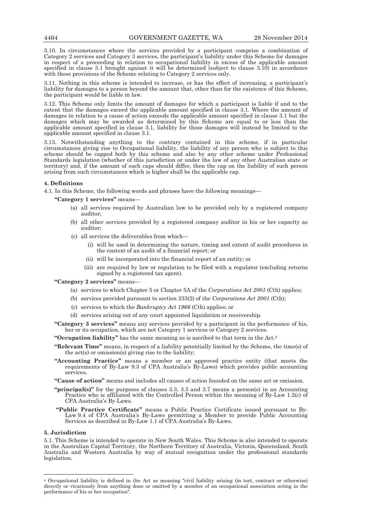3.10. In circumstances where the services provided by a participant comprise a combination of Category 2 services and Category 3 services, the participant's liability under this Scheme for damages in respect of a proceeding in relation to occupational liability in excess of the applicable amount specified in clause 3.1 brought against it will be determined (subject to clause  $3.\overline{10}$ ) in accordance with those provisions of the Scheme relating to Category 2 services only.

3.11. Nothing in this scheme is intended to increase, or has the effect of increasing, a participant's liability for damages to a person beyond the amount that, other than for the existence of this Scheme, the participant would be liable in law.

3.12. This Scheme only limits the amount of damages for which a participant is liable if and to the extent that the damages exceed the applicable amount specified in clause 3.1. Where the amount of damages in relation to a cause of action exceeds the applicable amount specified in clause 3.1 but the damages which may be awarded as determined by this Scheme are equal to or less than the applicable amount specified in clause 3.1, liability for those damages will instead be limited to the applicable amount specified in clause 3.1.

3.13. Notwithstanding anything to the contrary contained in this scheme, if in particular circumstances giving rise to Occupational liability, the liability of any person who is subject to this scheme should be capped both by this scheme and also by any other scheme under Professional Standards legislation (whether of this jurisdiction or under the law of any other Australian state or territory) and, if the amount of such caps should differ, then the cap on the liability of such person arising from such circumstances which is higher shall be the applicable cap.

### **4. Definitions**

4.1. In this Scheme, the following words and phrases have the following meanings—

**"Category 1 services"** means—

- (a) all services required by Australian law to be provided only by a registered company auditor;
- (b) all other services provided by a registered company auditor in his or her capacity as auditor;
- (c) all services the deliverables from which—
	- (i) will be used in determining the nature, timing and extent of audit procedures in the context of an audit of a financial report; or
	- (ii) will be incorporated into the financial report of an entity; or
	- (iii) are required by law or regulation to be filed with a regulator (excluding returns signed by a registered tax agent).

# **"Category 2 services"** means—

- (a) services to which Chapter 5 or Chapter 5A of the *Corporations Act 2001* (Cth) applies;
- (b) services provided pursuant to section 233(2) of the *Corporations Act 2001* (Cth);
- (c) services to which the *Bankruptcy Act 1966* (Cth) applies; or
- (d) services arising out of any court appointed liquidation or receivership.

**"Category 3 services"** means any services provided by a participant in the performance of his, her or its occupation, which are not Category 1 services or Category 2 services.

**"Occupation liability"** has the same meaning as is ascribed to that term in the Act.4

- **"Relevant Time"** means, in respect of a liability potentially limited by the Scheme, the time(s) of the act(s) or omission(s) giving rise to the liability;
- **"Accounting Practice"** means a member or an approved practice entity (that meets the requirements of By-Law 9.3 of CPA Australia's By-Laws) which provides public accounting services**.**
- **"Cause of action"** means and includes all causes of action founded on the same act or omission.
- **"principal(s)"** for the purposes of clauses 3.3, 3.5 and 3.7 means a person(s) in an Accounting Practice who is affiliated with the Controlled Person within the meaning of By-Law 1.2(c) of CPA Australia's By-Laws.
- **"Public Practice Certificate"** means a Public Practice Certificate issued pursuant to By-Law 9.4 of CPA Australia's By-Laws permitting a Member to provide Public Accounting Services as described in By-Law 1.1 of CPA Australia's By-Laws.

# **5. Jurisdiction**

 $\overline{a}$ 

5.1. This Scheme is intended to operate in New South Wales. This Scheme is also intended to operate in the Australian Capital Territory, the Northern Territory of Australia, Victoria, Queensland, South Australia and Western Australia by way of mutual recognition under the professional standards legislation.

<sup>4</sup> Occupational liability is defined in the Act as meaning "civil liability arising (in tort, contract or otherwise) directly or vicariously from anything done or omitted by a member of an occupational association acting in the performance of his or her occupation".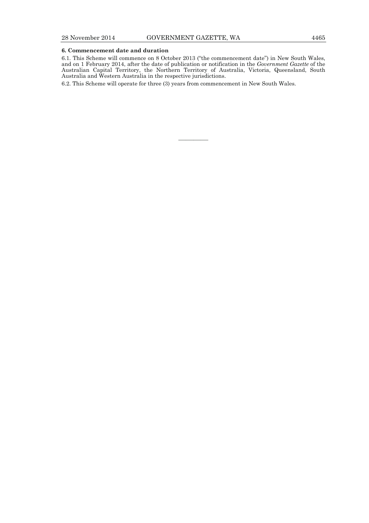### **6. Commencement date and duration**

6.1. This Scheme will commence on 8 October 2013 ("the commencement date") in New South Wales, and on 1 February 2014, after the date of publication or notification in the *Government Gazette* of the Australian Capital Territory, the Northern Territory of Australia, Victoria, Queensland, South Australia and Western Australia in the respective jurisdictions.

————

6.2. This Scheme will operate for three (3) years from commencement in New South Wales.